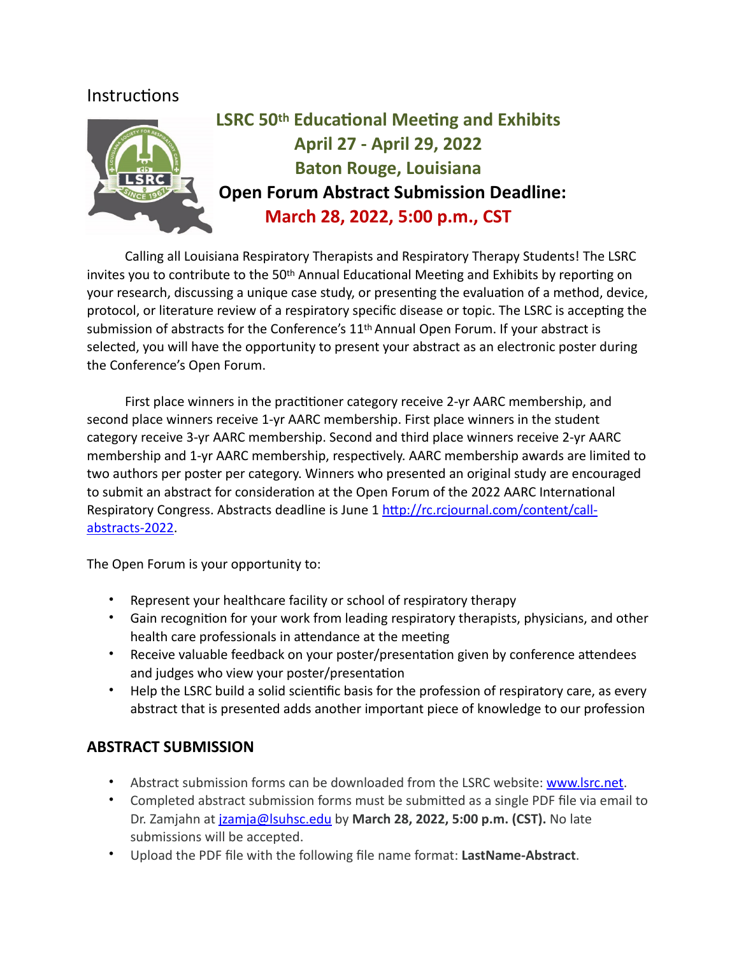# **Instructions**



# **LSRC 50th Educational Meeting and Exhibits April 27 - April 29, 2022 Baton Rouge, Louisiana Open Forum Abstract Submission Deadline: March 28, 2022, 5:00 p.m., CST**

Calling all Louisiana Respiratory Therapists and Respiratory Therapy Students! The LSRC invites you to contribute to the 50th Annual Educational Meeting and Exhibits by reporting on your research, discussing a unique case study, or presenting the evaluation of a method, device, protocol, or literature review of a respiratory specific disease or topic. The LSRC is accepting the submission of abstracts for the Conference's 11<sup>th</sup> Annual Open Forum. If your abstract is selected, you will have the opportunity to present your abstract as an electronic poster during the Conference's Open Forum.

First place winners in the practitioner category receive 2-yr AARC membership, and second place winners receive 1-yr AARC membership. First place winners in the student category receive 3-yr AARC membership. Second and third place winners receive 2-yr AARC membership and 1-yr AARC membership, respectively. AARC membership awards are limited to two authors per poster per category. Winners who presented an original study are encouraged to submit an abstract for consideration at the Open Forum of the 2022 AARC International Respiratory Congress. Abstracts deadline is June 1 [http://rc.rcjournal.com/content/call](http://rc.rcjournal.com/content/call-abstracts-2022)[abstracts-2022](http://rc.rcjournal.com/content/call-abstracts-2022).

The Open Forum is your opportunity to:

- Represent your healthcare facility or school of respiratory therapy
- Gain recognition for your work from leading respiratory therapists, physicians, and other health care professionals in attendance at the meeting
- Receive valuable feedback on your poster/presentation given by conference attendees and judges who view your poster/presentation
- Help the LSRC build a solid scientific basis for the profession of respiratory care, as every abstract that is presented adds another important piece of knowledge to our profession

## **ABSTRACT SUBMISSION**

- Abstract submission forms can be downloaded from the LSRC website: [www.lsrc.net.](http://www.lsrc.net)
- Completed abstract submission forms must be submitted as a single PDF file via email to Dr. Zamjahn at [jzamja@lsuhsc.edu](mailto:jzamja@lsuhsc.edu) by **March 28, 2022, 5:00 p.m. (CST).** No late submissions will be accepted.
- Upload the PDF file with the following file name format: **LastName-Abstract**.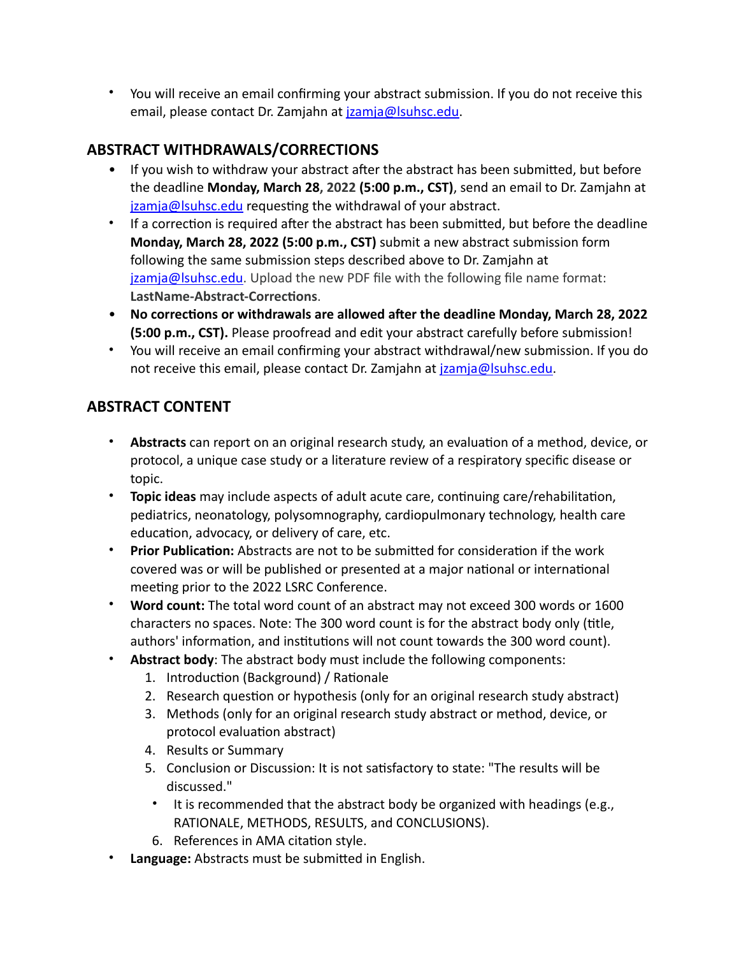• You will receive an email confirming your abstract submission. If you do not receive this email, please contact Dr. Zamjahn at [jzamja@lsuhsc.edu](mailto:jzamja@lsuhsc.edu).

## **ABSTRACT WITHDRAWALS/CORRECTIONS**

- If you wish to withdraw your abstract after the abstract has been submitted, but before the deadline **Monday, March 28, 2022 (5:00 p.m., CST)**, send an email to Dr. Zamjahn at [jzamja@lsuhsc.edu](mailto:jzamja@lsuhsc.edu) requesting the withdrawal of your abstract.
- If a correction is required after the abstract has been submitted, but before the deadline **Monday, March 28, 2022 (5:00 p.m., CST)** submit a new abstract submission form following the same submission steps described above to Dr. Zamjahn at [jzamja@lsuhsc.edu.](mailto:jzamja@lsuhsc.edu) Upload the new PDF file with the following file name format: **LastName-Abstract-Corrections**.
- **No corrections or withdrawals are allowed after the deadline Monday, March 28, 2022 (5:00 p.m., CST).** Please proofread and edit your abstract carefully before submission!
- You will receive an email confirming your abstract withdrawal/new submission. If you do not receive this email, please contact Dr. Zamjahn at *[jzamja@lsuhsc.edu](mailto:jzamja@lsuhsc.edu).*

# **ABSTRACT CONTENT**

- **Abstracts** can report on an original research study, an evaluation of a method, device, or protocol, a unique case study or a literature review of a respiratory specific disease or topic.
- **Topic ideas** may include aspects of adult acute care, continuing care/rehabilitation, pediatrics, neonatology, polysomnography, cardiopulmonary technology, health care education, advocacy, or delivery of care, etc.
- **Prior Publication:** Abstracts are not to be submitted for consideration if the work covered was or will be published or presented at a major national or international meeting prior to the 2022 LSRC Conference.
- **Word count:** The total word count of an abstract may not exceed 300 words or 1600 characters no spaces. Note: The 300 word count is for the abstract body only (title, authors' information, and institutions will not count towards the 300 word count).
- **Abstract body**: The abstract body must include the following components:
	- 1. Introduction (Background) / Rationale
	- 2. Research question or hypothesis (only for an original research study abstract)
	- 3. Methods (only for an original research study abstract or method, device, or protocol evaluation abstract)
	- 4. Results or Summary
	- 5. Conclusion or Discussion: It is not satisfactory to state: "The results will be discussed."
	- It is recommended that the abstract body be organized with headings (e.g., RATIONALE, METHODS, RESULTS, and CONCLUSIONS).
	- 6. References in AMA citation style.
- **Language:** Abstracts must be submitted in English.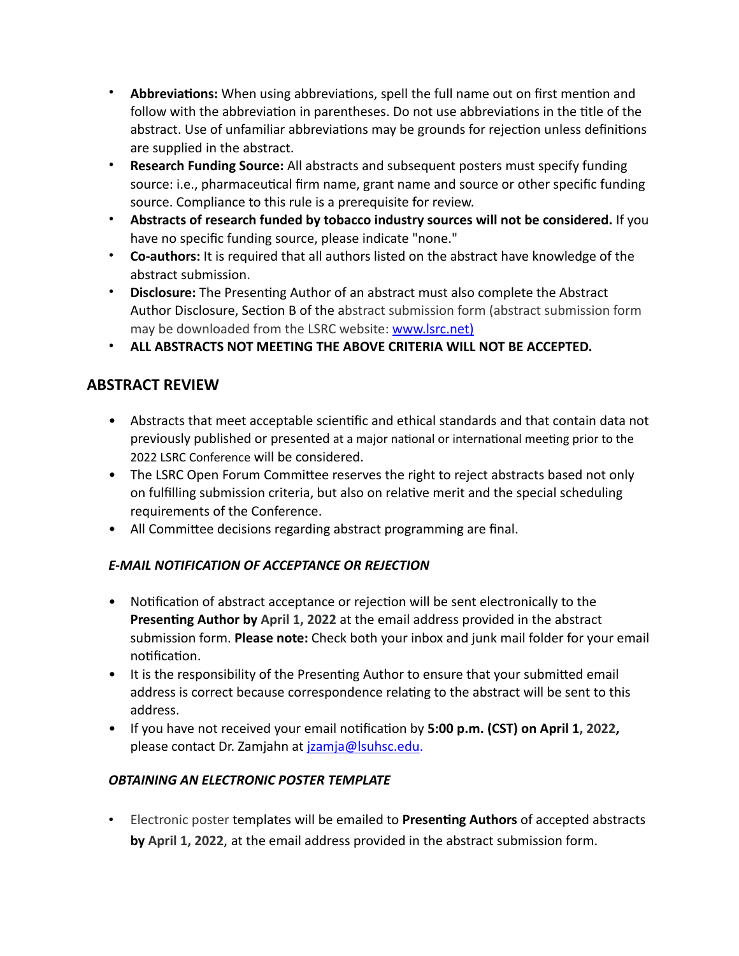- **Abbreviations:** When using abbreviations, spell the full name out on first mention and follow with the abbreviation in parentheses. Do not use abbreviations in the title of the abstract. Use of unfamiliar abbreviations may be grounds for rejection unless definitions are supplied in the abstract.
- **Research Funding Source:** All abstracts and subsequent posters must specify funding source: i.e., pharmaceutical firm name, grant name and source or other specific funding source. Compliance to this rule is a prerequisite for review.
- **Abstracts of research funded by tobacco industry sources will not be considered.** If you have no specific funding source, please indicate "none."
- **Co-authors:** It is required that all authors listed on the abstract have knowledge of the abstract submission.
- **Disclosure:** The Presenting Author of an abstract must also complete the Abstract Author Disclosure, Section B of the abstract submission form (abstract submission form may be downloaded from the LSRC website: [www.lsrc.net](http://www.lsrc.net))
- **ALL ABSTRACTS NOT MEETING THE ABOVE CRITERIA WILL NOT BE ACCEPTED.**

# **ABSTRACT REVIEW**

- Abstracts that meet acceptable scientific and ethical standards and that contain data not previously published or presented at a major national or international meeting prior to the 2022 LSRC Conference will be considered.
- The LSRC Open Forum Committee reserves the right to reject abstracts based not only on fulfilling submission criteria, but also on relative merit and the special scheduling requirements of the Conference.
- All Committee decisions regarding abstract programming are final.

#### *E-MAIL NOTIFICATION OF ACCEPTANCE OR REJECTION*

- Notification of abstract acceptance or rejection will be sent electronically to the **Presenting Author by April 1, 2022** at the email address provided in the abstract submission form. **Please note:** Check both your inbox and junk mail folder for your email notification.
- It is the responsibility of the Presenting Author to ensure that your submitted email address is correct because correspondence relating to the abstract will be sent to this address.
- If you have not received your email notification by **5:00 p.m. (CST) on April 1, 2022,** please contact Dr. Zamjahn at [jzamja@lsuhsc.edu.](mailto:jzamja@lsuhsc.edu)

#### *OBTAINING AN ELECTRONIC POSTER TEMPLATE*

• Electronic poster templates will be emailed to **Presenting Authors** of accepted abstracts **by April 1, 2022**, at the email address provided in the abstract submission form.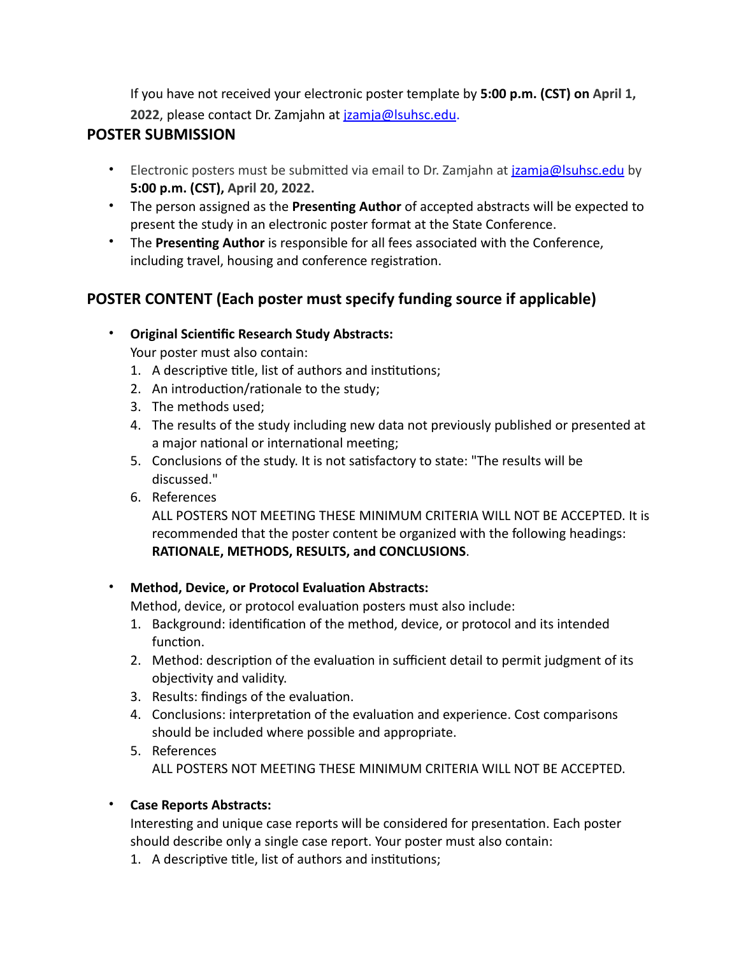If you have not received your electronic poster template by **5:00 p.m. (CST) on April 1, 2022**, please contact Dr. Zamjahn at [jzamja@lsuhsc.edu](mailto:jzamja@lsuhsc.edu).

# **POSTER SUBMISSION**

- Electronic posters must be submitted via email to Dr. Zamjahn at *jzamja@lsuhsc.edu* by **5:00 p.m. (CST), April 20, 2022.**
- The person assigned as the **Presenting Author** of accepted abstracts will be expected to present the study in an electronic poster format at the State Conference.
- The **Presenting Author** is responsible for all fees associated with the Conference, including travel, housing and conference registration.

# **POSTER CONTENT (Each poster must specify funding source if applicable)**

- **Original Scientific Research Study Abstracts:**  Your poster must also contain:
	- 1. A descriptive title, list of authors and institutions;
	- 2. An introduction/rationale to the study;
	- 3. The methods used;
	- 4. The results of the study including new data not previously published or presented at a major national or international meeting;
	- 5. Conclusions of the study. It is not satisfactory to state: "The results will be discussed."
	- 6. References

ALL POSTERS NOT MEETING THESE MINIMUM CRITERIA WILL NOT BE ACCEPTED. It is recommended that the poster content be organized with the following headings: **RATIONALE, METHODS, RESULTS, and CONCLUSIONS**.

#### • **Method, Device, or Protocol Evaluation Abstracts:**

Method, device, or protocol evaluation posters must also include:

- 1. Background: identification of the method, device, or protocol and its intended function.
- 2. Method: description of the evaluation in sufficient detail to permit judgment of its objectivity and validity.
- 3. Results: findings of the evaluation.
- 4. Conclusions: interpretation of the evaluation and experience. Cost comparisons should be included where possible and appropriate.
- 5. References ALL POSTERS NOT MEETING THESE MINIMUM CRITERIA WILL NOT BE ACCEPTED.

## • **Case Reports Abstracts:**

Interesting and unique case reports will be considered for presentation. Each poster should describe only a single case report. Your poster must also contain:

1. A descriptive title, list of authors and institutions;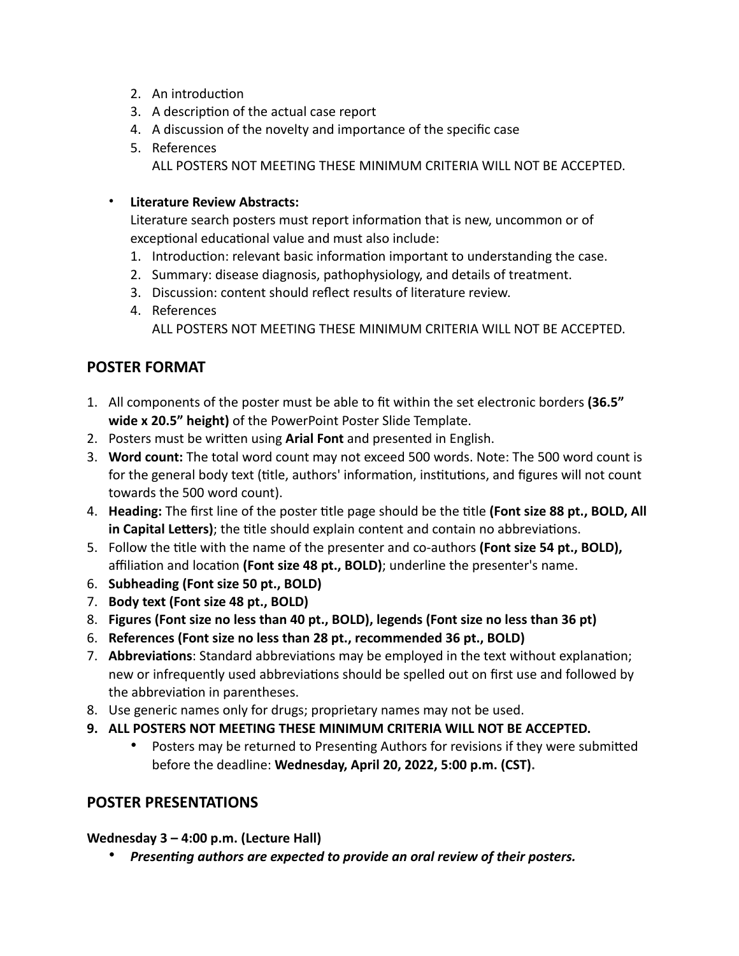- 2. An introduction
- 3. A description of the actual case report
- 4. A discussion of the novelty and importance of the specific case
- 5. References ALL POSTERS NOT MEETING THESE MINIMUM CRITERIA WILL NOT BE ACCEPTED.

#### • **Literature Review Abstracts:**

Literature search posters must report information that is new, uncommon or of exceptional educational value and must also include:

- 1. Introduction: relevant basic information important to understanding the case.
- 2. Summary: disease diagnosis, pathophysiology, and details of treatment.
- 3. Discussion: content should reflect results of literature review.
- 4. References
	- ALL POSTERS NOT MEETING THESE MINIMUM CRITERIA WILL NOT BE ACCEPTED.

## **POSTER FORMAT**

- 1. All components of the poster must be able to fit within the set electronic borders **(36.5" wide x 20.5" height)** of the PowerPoint Poster Slide Template.
- 2. Posters must be written using **Arial Font** and presented in English.
- 3. **Word count:** The total word count may not exceed 500 words. Note: The 500 word count is for the general body text (title, authors' information, institutions, and figures will not count towards the 500 word count).
- 4. **Heading:** The first line of the poster title page should be the title **(Font size 88 pt., BOLD, All in Capital Letters)**; the title should explain content and contain no abbreviations.
- 5. Follow the title with the name of the presenter and co-authors **(Font size 54 pt., BOLD),** affiliation and location **(Font size 48 pt., BOLD)**; underline the presenter's name.
- 6. **Subheading (Font size 50 pt., BOLD)**
- 7. **Body text (Font size 48 pt., BOLD)**
- 8. **Figures (Font size no less than 40 pt., BOLD), legends (Font size no less than 36 pt)**
- 6. **References (Font size no less than 28 pt., recommended 36 pt., BOLD)**
- 7. **Abbreviations**: Standard abbreviations may be employed in the text without explanation; new or infrequently used abbreviations should be spelled out on first use and followed by the abbreviation in parentheses.
- 8. Use generic names only for drugs; proprietary names may not be used.
- **9. ALL POSTERS NOT MEETING THESE MINIMUM CRITERIA WILL NOT BE ACCEPTED.** 
	- Posters may be returned to Presenting Authors for revisions if they were submitted before the deadline: **Wednesday, April 20, 2022, 5:00 p.m. (CST).**

## **POSTER PRESENTATIONS**

**Wednesday 3 – 4:00 p.m. (Lecture Hall)**

• *Presenting authors are expected to provide an oral review of their posters.*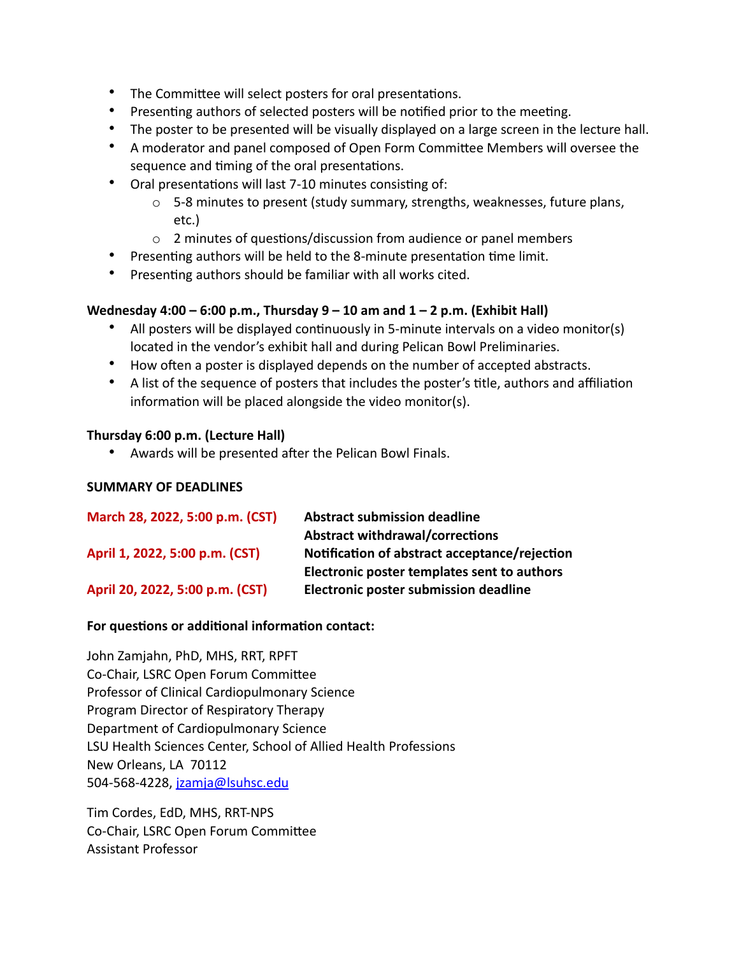- The Committee will select posters for oral presentations.
- Presenting authors of selected posters will be notified prior to the meeting.
- The poster to be presented will be visually displayed on a large screen in the lecture hall.
- A moderator and panel composed of Open Form Committee Members will oversee the sequence and timing of the oral presentations.
- Oral presentations will last 7-10 minutes consisting of:
	- $\circ$  5-8 minutes to present (study summary, strengths, weaknesses, future plans, etc.)
	- o 2 minutes of questions/discussion from audience or panel members
- Presenting authors will be held to the 8-minute presentation time limit.
- Presenting authors should be familiar with all works cited.

#### **Wednesday 4:00 – 6:00 p.m., Thursday 9 – 10 am and 1 – 2 p.m. (Exhibit Hall)**

- All posters will be displayed continuously in 5-minute intervals on a video monitor(s) located in the vendor's exhibit hall and during Pelican Bowl Preliminaries.
- How often a poster is displayed depends on the number of accepted abstracts.
- A list of the sequence of posters that includes the poster's title, authors and affiliation information will be placed alongside the video monitor(s).

#### **Thursday 6:00 p.m. (Lecture Hall)**

• Awards will be presented after the Pelican Bowl Finals.

#### **SUMMARY OF DEADLINES**

| March 28, 2022, 5:00 p.m. (CST) | <b>Abstract submission deadline</b>           |
|---------------------------------|-----------------------------------------------|
|                                 | <b>Abstract withdrawal/corrections</b>        |
| April 1, 2022, 5:00 p.m. (CST)  | Notification of abstract acceptance/rejection |
|                                 | Electronic poster templates sent to authors   |
| April 20, 2022, 5:00 p.m. (CST) | Electronic poster submission deadline         |

#### **For questions or additional information contact:**

John Zamjahn, PhD, MHS, RRT, RPFT Co-Chair, LSRC Open Forum Committee Professor of Clinical Cardiopulmonary Science Program Director of Respiratory Therapy Department of Cardiopulmonary Science LSU Health Sciences Center, School of Allied Health Professions New Orleans, LA 70112 504-568-4228, [jzamja@lsuhsc.edu](mailto:jzamja@lsuhsc.edu)

Tim Cordes, EdD, MHS, RRT-NPS Co-Chair, LSRC Open Forum Committee Assistant Professor